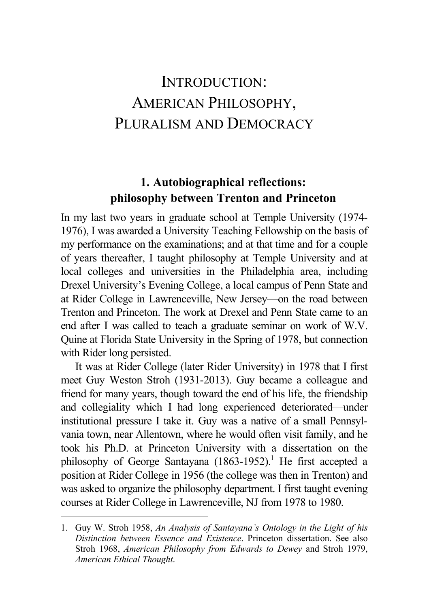# INTRODUCTION: AMERICAN PHILOSOPHY, PLURALISM AND DEMOCRACY

# **1. Autobiographical reflections: philosophy between Trenton and Princeton**

In my last two years in graduate school at Temple University (1974- 1976), I was awarded a University Teaching Fellowship on the basis of my performance on the examinations; and at that time and for a couple of years thereafter, I taught philosophy at Temple University and at local colleges and universities in the Philadelphia area, including Drexel University's Evening College, a local campus of Penn State and at Rider College in Lawrenceville, New Jersey—on the road between Trenton and Princeton. The work at Drexel and Penn State came to an end after I was called to teach a graduate seminar on work of W.V. Quine at Florida State University in the Spring of 1978, but connection with Rider long persisted.

It was at Rider College (later Rider University) in 1978 that I first meet Guy Weston Stroh (1931-2013). Guy became a colleague and friend for many years, though toward the end of his life, the friendship and collegiality which I had long experienced deteriorated—under institutional pressure I take it. Guy was a native of a small Pennsylvania town, near Allentown, where he would often visit family, and he took his Ph.D. at Princeton University with a dissertation on the philosophy of George Santayana  $(1863-1952)^{1}$  He first accepted a position at Rider College in 1956 (the college was then in Trenton) and was asked to organize the philosophy department. I first taught evening courses at Rider College in Lawrenceville, NJ from 1978 to 1980.

<sup>1.</sup> Guy W. Stroh 1958, *An Analysis of Santayana's Ontology in the Light of his Distinction between Essence and Existence*. Princeton dissertation. See also Stroh 1968, *American Philosophy from Edwards to Dewey* and Stroh 1979, *American Ethical Thought*.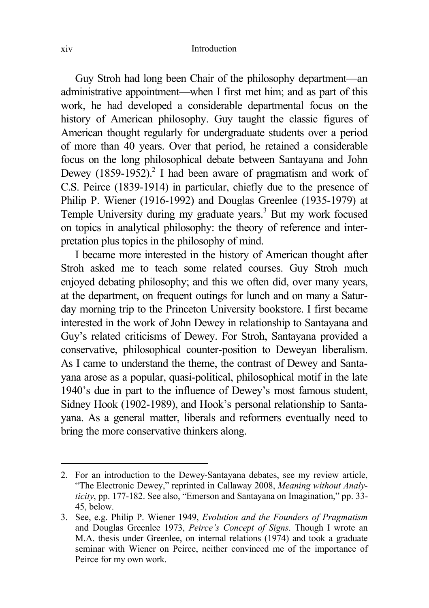Guy Stroh had long been Chair of the philosophy department—an administrative appointment—when I first met him; and as part of this work, he had developed a considerable departmental focus on the history of American philosophy. Guy taught the classic figures of American thought regularly for undergraduate students over a period of more than 40 years. Over that period, he retained a considerable focus on the long philosophical debate between Santayana and John Dewey  $(1859-1952)$ <sup>2</sup> I had been aware of pragmatism and work of C.S. Peirce (1839-1914) in particular, chiefly due to the presence of Philip P. Wiener (1916-1992) and Douglas Greenlee (1935-1979) at Temple University during my graduate years.<sup>3</sup> But my work focused on topics in analytical philosophy: the theory of reference and interpretation plus topics in the philosophy of mind.

I became more interested in the history of American thought after Stroh asked me to teach some related courses. Guy Stroh much enjoyed debating philosophy; and this we often did, over many years, at the department, on frequent outings for lunch and on many a Saturday morning trip to the Princeton University bookstore. I first became interested in the work of John Dewey in relationship to Santayana and Guy's related criticisms of Dewey. For Stroh, Santayana provided a conservative, philosophical counter-position to Deweyan liberalism. As I came to understand the theme, the contrast of Dewey and Santayana arose as a popular, quasi-political, philosophical motif in the late 1940's due in part to the influence of Dewey's most famous student, Sidney Hook (1902-1989), and Hook's personal relationship to Santayana. As a general matter, liberals and reformers eventually need to bring the more conservative thinkers along.

<sup>2.</sup> For an introduction to the Dewey-Santayana debates, see my review article, "The Electronic Dewey," reprinted in Callaway 2008, *Meaning without Analyticity*, pp. 177-182. See also, "Emerson and Santayana on Imagination," pp. 33- 45, below.

<sup>3.</sup> See, e.g. Philip P. Wiener 1949, *Evolution and the Founders of Pragmatism* and Douglas Greenlee 1973, *Peirce's Concept of Signs*. Though I wrote an M.A. thesis under Greenlee, on internal relations (1974) and took a graduate seminar with Wiener on Peirce, neither convinced me of the importance of Peirce for my own work.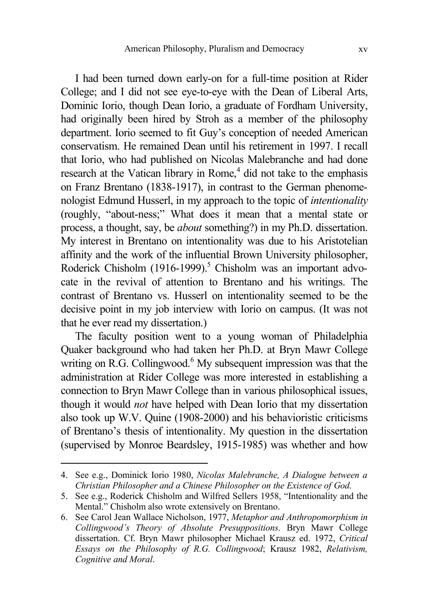I had been turned down early-on for a full-time position at Rider College; and I did not see eye-to-eye with the Dean of Liberal Arts, Dominic Iorio, though Dean Iorio, a graduate of Fordham University, had originally been hired by Stroh as a member of the philosophy department. Iorio seemed to fit Guy's conception of needed American conservatism. He remained Dean until his retirement in 1997. I recall that Iorio, who had published on Nicolas Malebranche and had done research at the Vatican library in Rome,<sup>4</sup> did not take to the emphasis on Franz Brentano (1838-1917), in contrast to the German phenomenologist Edmund Husserl, in my approach to the topic of *intentionality* (roughly, "about-ness;" What does it mean that a mental state or process, a thought, say, be *about* something?) in my Ph.D. dissertation. My interest in Brentano on intentionality was due to his Aristotelian affinity and the work of the influential Brown University philosopher, Roderick Chisholm (1916-1999).<sup>5</sup> Chisholm was an important advocate in the revival of attention to Brentano and his writings. The contrast of Brentano vs. Husserl on intentionality seemed to be the decisive point in my job interview with Iorio on campus. (It was not that he ever read my dissertation.)

The faculty position went to a young woman of Philadelphia Quaker background who had taken her Ph.D. at Bryn Mawr College writing on R.G. Collingwood. $<sup>6</sup>$  My subsequent impression was that the</sup> administration at Rider College was more interested in establishing a connection to Bryn Mawr College than in various philosophical issues, though it would *not* have helped with Dean Iorio that my dissertation also took up W.V. Quine (1908-2000) and his behavioristic criticisms of Brentano's thesis of intentionality. My question in the dissertation (supervised by Monroe Beardsley, 1915-1985) was whether and how

<sup>4.</sup> See e.g., Dominick Iorio 1980, *Nicolas Malebranche, A Dialogue between a Christian Philosopher and a Chinese Philosopher on the Existence of God*.

<sup>5.</sup> See e.g., Roderick Chisholm and Wilfred Sellers 1958, "Intentionality and the Mental." Chisholm also wrote extensively on Brentano.

<sup>6.</sup> See Carol Jean Wallace Nicholson, 1977, *Metaphor and Anthropomorphism in Collingwood's Theory of Absolute Presuppositions*. Bryn Mawr College dissertation. Cf. Bryn Mawr philosopher Michael Krausz ed. 1972, *Critical Essays on the Philosophy of R.G. Collingwood*; Krausz 1982, *Relativism, Cognitive and Moral*.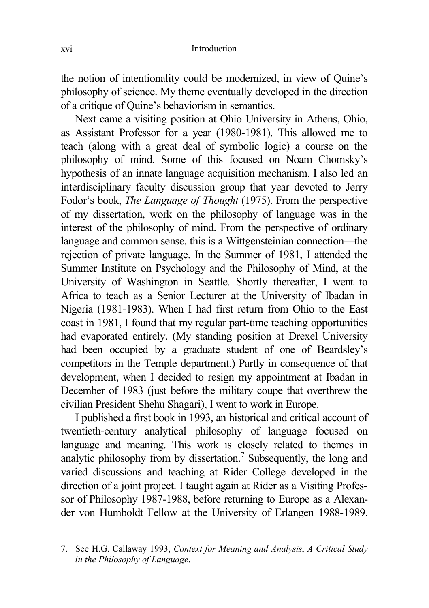the notion of intentionality could be modernized, in view of Quine's philosophy of science. My theme eventually developed in the direction of a critique of Quine's behaviorism in semantics.

Next came a visiting position at Ohio University in Athens, Ohio, as Assistant Professor for a year (1980-1981). This allowed me to teach (along with a great deal of symbolic logic) a course on the philosophy of mind. Some of this focused on Noam Chomsky's hypothesis of an innate language acquisition mechanism. I also led an interdisciplinary faculty discussion group that year devoted to Jerry Fodor's book, *The Language of Thought* (1975). From the perspective of my dissertation, work on the philosophy of language was in the interest of the philosophy of mind. From the perspective of ordinary language and common sense, this is a Wittgensteinian connection—the rejection of private language. In the Summer of 1981, I attended the Summer Institute on Psychology and the Philosophy of Mind, at the University of Washington in Seattle. Shortly thereafter, I went to Africa to teach as a Senior Lecturer at the University of Ibadan in Nigeria (1981-1983). When I had first return from Ohio to the East coast in 1981, I found that my regular part-time teaching opportunities had evaporated entirely. (My standing position at Drexel University had been occupied by a graduate student of one of Beardsley's competitors in the Temple department.) Partly in consequence of that development, when I decided to resign my appointment at Ibadan in December of 1983 (just before the military coupe that overthrew the civilian President Shehu Shagari), I went to work in Europe.

I published a first book in 1993, an historical and critical account of twentieth-century analytical philosophy of language focused on language and meaning. This work is closely related to themes in analytic philosophy from by dissertation.<sup>7</sup> Subsequently, the long and varied discussions and teaching at Rider College developed in the direction of a joint project. I taught again at Rider as a Visiting Professor of Philosophy 1987-1988, before returning to Europe as a Alexander von Humboldt Fellow at the University of Erlangen 1988-1989.

<sup>7.</sup> See H.G. Callaway 1993, *Context for Meaning and Analysis*, *A Critical Study in the Philosophy of Language*.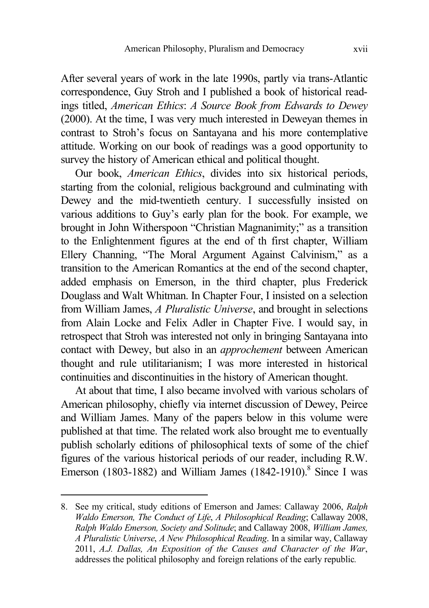After several years of work in the late 1990s, partly via trans-Atlantic correspondence, Guy Stroh and I published a book of historical readings titled, *American Ethics*: *A Source Book from Edwards to Dewey*  (2000). At the time, I was very much interested in Deweyan themes in contrast to Stroh's focus on Santayana and his more contemplative attitude. Working on our book of readings was a good opportunity to survey the history of American ethical and political thought.

Our book, *American Ethics*, divides into six historical periods, starting from the colonial, religious background and culminating with Dewey and the mid-twentieth century. I successfully insisted on various additions to Guy's early plan for the book. For example, we brought in John Witherspoon "Christian Magnanimity;" as a transition to the Enlightenment figures at the end of th first chapter, William Ellery Channing, "The Moral Argument Against Calvinism," as a transition to the American Romantics at the end of the second chapter, added emphasis on Emerson, in the third chapter, plus Frederick Douglass and Walt Whitman. In Chapter Four, I insisted on a selection from William James, *A Pluralistic Universe*, and brought in selections from Alain Locke and Felix Adler in Chapter Five. I would say, in retrospect that Stroh was interested not only in bringing Santayana into contact with Dewey, but also in an *approchement* between American thought and rule utilitarianism; I was more interested in historical continuities and discontinuities in the history of American thought.

At about that time, I also became involved with various scholars of American philosophy, chiefly via internet discussion of Dewey, Peirce and William James. Many of the papers below in this volume were published at that time. The related work also brought me to eventually publish scholarly editions of philosophical texts of some of the chief figures of the various historical periods of our reader, including R.W. Emerson (1803-1882) and William James (1842-1910).<sup>8</sup> Since I was

<sup>8.</sup> See my critical, study editions of Emerson and James: Callaway 2006, *Ralph Waldo Emerson, The Conduct of Life*, *A Philosophical Reading*; Callaway 2008, *Ralph Waldo Emerson, Society and Solitude*; and Callaway 2008, *William James, A Pluralistic Universe*, *A New Philosophical Reading*. In a similar way, Callaway 2011, *A.J. Dallas, An Exposition of the Causes and Character of the War*, addresses the political philosophy and foreign relations of the early republic*.*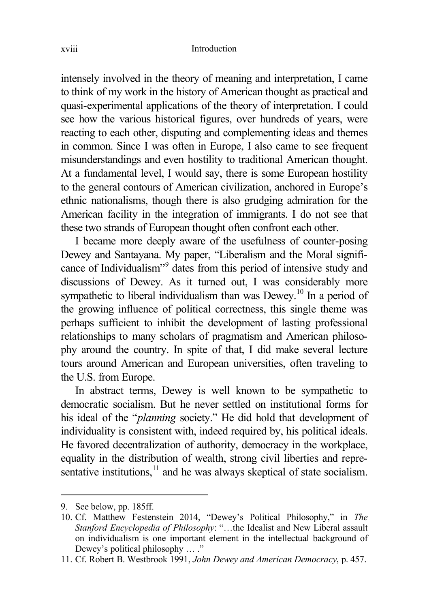intensely involved in the theory of meaning and interpretation, I came to think of my work in the history of American thought as practical and quasi-experimental applications of the theory of interpretation. I could see how the various historical figures, over hundreds of years, were reacting to each other, disputing and complementing ideas and themes in common. Since I was often in Europe, I also came to see frequent misunderstandings and even hostility to traditional American thought. At a fundamental level, I would say, there is some European hostility to the general contours of American civilization, anchored in Europe's ethnic nationalisms, though there is also grudging admiration for the American facility in the integration of immigrants. I do not see that these two strands of European thought often confront each other.

I became more deeply aware of the usefulness of counter-posing Dewey and Santayana. My paper, "Liberalism and the Moral significance of Individualism"<sup>9</sup> dates from this period of intensive study and discussions of Dewey. As it turned out, I was considerably more sympathetic to liberal individualism than was Dewey.<sup>10</sup> In a period of the growing influence of political correctness, this single theme was perhaps sufficient to inhibit the development of lasting professional relationships to many scholars of pragmatism and American philosophy around the country. In spite of that, I did make several lecture tours around American and European universities, often traveling to the U.S. from Europe.

In abstract terms, Dewey is well known to be sympathetic to democratic socialism. But he never settled on institutional forms for his ideal of the "*planning* society." He did hold that development of individuality is consistent with, indeed required by, his political ideals. He favored decentralization of authority, democracy in the workplace, equality in the distribution of wealth, strong civil liberties and representative institutions, $11$  and he was always skeptical of state socialism.

<sup>9.</sup> See below, pp. 185ff.

<sup>10.</sup> Cf. Matthew Festenstein 2014, "Dewey's Political Philosophy," in *The Stanford Encyclopedia of Philosophy*: "…the Idealist and New Liberal assault on individualism is one important element in the intellectual background of Dewey's political philosophy ...."

<sup>11.</sup> Cf. Robert B. Westbrook 1991, *John Dewey and American Democracy*, p. 457.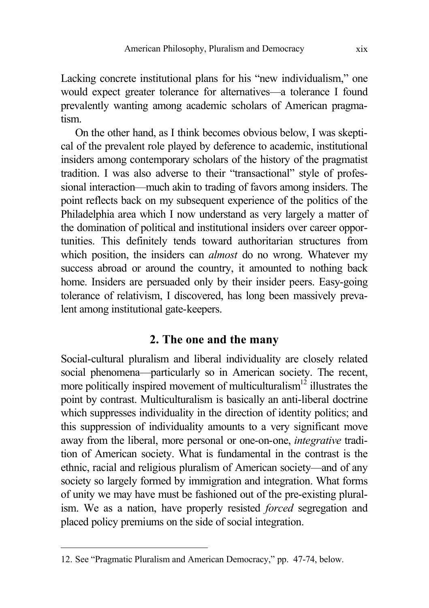Lacking concrete institutional plans for his "new individualism," one would expect greater tolerance for alternatives—a tolerance I found prevalently wanting among academic scholars of American pragmatism.

On the other hand, as I think becomes obvious below, I was skeptical of the prevalent role played by deference to academic, institutional insiders among contemporary scholars of the history of the pragmatist tradition. I was also adverse to their "transactional" style of professional interaction—much akin to trading of favors among insiders. The point reflects back on my subsequent experience of the politics of the Philadelphia area which I now understand as very largely a matter of the domination of political and institutional insiders over career opportunities. This definitely tends toward authoritarian structures from which position, the insiders can *almost* do no wrong. Whatever my success abroad or around the country, it amounted to nothing back home. Insiders are persuaded only by their insider peers. Easy-going tolerance of relativism, I discovered, has long been massively prevalent among institutional gate-keepers.

## **2. The one and the many**

Social-cultural pluralism and liberal individuality are closely related social phenomena—particularly so in American society. The recent, more politically inspired movement of multiculturalism $12$  illustrates the point by contrast. Multiculturalism is basically an anti-liberal doctrine which suppresses individuality in the direction of identity politics; and this suppression of individuality amounts to a very significant move away from the liberal, more personal or one-on-one, *integrative* tradition of American society. What is fundamental in the contrast is the ethnic, racial and religious pluralism of American society—and of any society so largely formed by immigration and integration. What forms of unity we may have must be fashioned out of the pre-existing pluralism. We as a nation, have properly resisted *forced* segregation and placed policy premiums on the side of social integration.

<sup>12.</sup> See "Pragmatic Pluralism and American Democracy," pp. 47-74, below.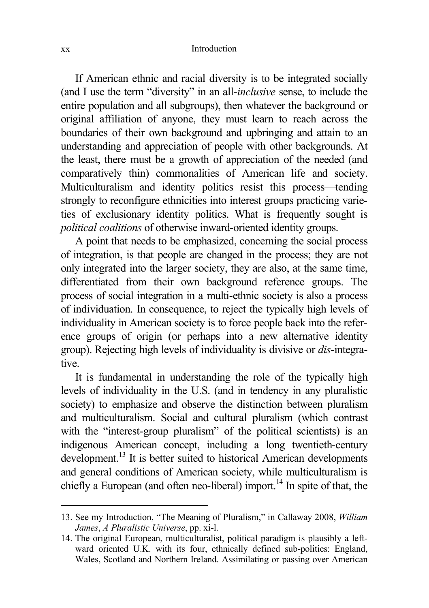#### xx Introduction

If American ethnic and racial diversity is to be integrated socially (and I use the term "diversity" in an all-*inclusive* sense, to include the entire population and all subgroups), then whatever the background or original affiliation of anyone, they must learn to reach across the boundaries of their own background and upbringing and attain to an understanding and appreciation of people with other backgrounds. At the least, there must be a growth of appreciation of the needed (and comparatively thin) commonalities of American life and society. Multiculturalism and identity politics resist this process—tending strongly to reconfigure ethnicities into interest groups practicing varieties of exclusionary identity politics. What is frequently sought is *political coalitions* of otherwise inward-oriented identity groups.

A point that needs to be emphasized, concerning the social process of integration, is that people are changed in the process; they are not only integrated into the larger society, they are also, at the same time, differentiated from their own background reference groups. The process of social integration in a multi-ethnic society is also a process of individuation. In consequence, to reject the typically high levels of individuality in American society is to force people back into the reference groups of origin (or perhaps into a new alternative identity group). Rejecting high levels of individuality is divisive or *dis*-integrative.

It is fundamental in understanding the role of the typically high levels of individuality in the U.S. (and in tendency in any pluralistic society) to emphasize and observe the distinction between pluralism and multiculturalism. Social and cultural pluralism (which contrast with the "interest-group pluralism" of the political scientists) is an indigenous American concept, including a long twentieth-century development.<sup>13</sup> It is better suited to historical American developments and general conditions of American society, while multiculturalism is chiefly a European (and often neo-liberal) import.<sup>14</sup> In spite of that, the

<sup>13.</sup> See my Introduction, "The Meaning of Pluralism," in Callaway 2008, *William James*, *A Pluralistic Universe*, pp. xi-l.

<sup>14.</sup> The original European, multiculturalist, political paradigm is plausibly a leftward oriented U.K. with its four, ethnically defined sub-polities: England, Wales, Scotland and Northern Ireland. Assimilating or passing over American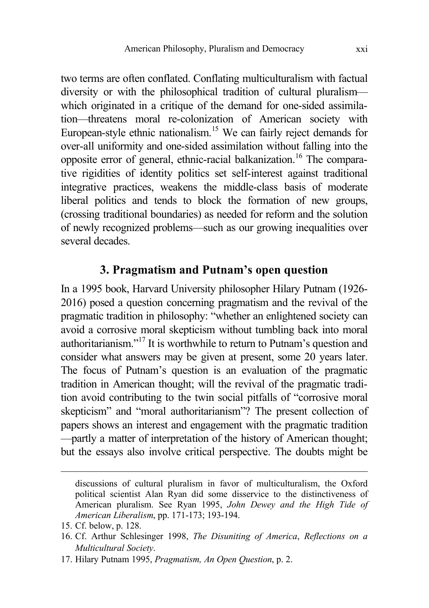two terms are often conflated. Conflating multiculturalism with factual diversity or with the philosophical tradition of cultural pluralism which originated in a critique of the demand for one-sided assimilation—threatens moral re-colonization of American society with European-style ethnic nationalism.<sup>15</sup> We can fairly reject demands for over-all uniformity and one-sided assimilation without falling into the opposite error of general, ethnic-racial balkanization.<sup>16</sup> The comparative rigidities of identity politics set self-interest against traditional integrative practices, weakens the middle-class basis of moderate liberal politics and tends to block the formation of new groups, (crossing traditional boundaries) as needed for reform and the solution of newly recognized problems—such as our growing inequalities over several decades.

### **3. Pragmatism and Putnam's open question**

In a 1995 book, Harvard University philosopher Hilary Putnam (1926- 2016) posed a question concerning pragmatism and the revival of the pragmatic tradition in philosophy: "whether an enlightened society can avoid a corrosive moral skepticism without tumbling back into moral authoritarianism."<sup>17</sup> It is worthwhile to return to Putnam's question and consider what answers may be given at present, some 20 years later. The focus of Putnam's question is an evaluation of the pragmatic tradition in American thought; will the revival of the pragmatic tradition avoid contributing to the twin social pitfalls of "corrosive moral skepticism" and "moral authoritarianism"? The present collection of papers shows an interest and engagement with the pragmatic tradition —partly a matter of interpretation of the history of American thought; but the essays also involve critical perspective. The doubts might be

discussions of cultural pluralism in favor of multiculturalism, the Oxford political scientist Alan Ryan did some disservice to the distinctiveness of American pluralism. See Ryan 1995, *John Dewey and the High Tide of American Liberalism*, pp. 171-173; 193-194.

<sup>15.</sup> Cf. below, p. 128.

<sup>16.</sup> Cf. Arthur Schlesinger 1998, *The Disuniting of America*, *Reflections on a Multicultural Society*.

<sup>17.</sup> Hilary Putnam 1995, *Pragmatism, An Open Question*, p. 2.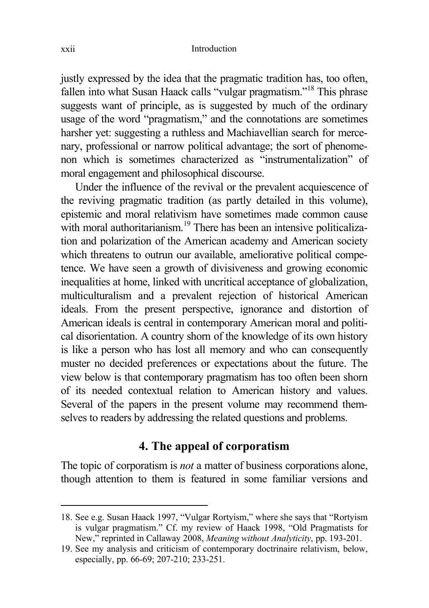justly expressed by the idea that the pragmatic tradition has, too often, fallen into what Susan Haack calls "vulgar pragmatism."<sup>18</sup> This phrase suggests want of principle, as is suggested by much of the ordinary usage of the word "pragmatism," and the connotations are sometimes harsher yet: suggesting a ruthless and Machiavellian search for mercenary, professional or narrow political advantage; the sort of phenomenon which is sometimes characterized as "instrumentalization" of moral engagement and philosophical discourse.

Under the influence of the revival or the prevalent acquiescence of the reviving pragmatic tradition (as partly detailed in this volume), epistemic and moral relativism have sometimes made common cause with moral authoritarianism.<sup>19</sup> There has been an intensive politicalization and polarization of the American academy and American society which threatens to outrun our available, ameliorative political competence. We have seen a growth of divisiveness and growing economic inequalities at home, linked with uncritical acceptance of globalization, multiculturalism and a prevalent rejection of historical American ideals. From the present perspective, ignorance and distortion of American ideals is central in contemporary American moral and political disorientation. A country shorn of the knowledge of its own history is like a person who has lost all memory and who can consequently muster no decided preferences or expectations about the future. The view below is that contemporary pragmatism has too often been shorn of its needed contextual relation to American history and values. Several of the papers in the present volume may recommend themselves to readers by addressing the related questions and problems.

### **4. The appeal of corporatism**

The topic of corporatism is *not* a matter of business corporations alone, though attention to them is featured in some familiar versions and

<sup>18.</sup> See e.g. Susan Haack 1997, "Vulgar Rortyism," where she says that "Rortyism is vulgar pragmatism." Cf. my review of Haack 1998, "Old Pragmatists for New," reprinted in Callaway 2008, *Meaning without Analyticity*, pp. 193-201.

<sup>19.</sup> See my analysis and criticism of contemporary doctrinaire relativism, below, especially, pp. 66-69; 207-210; 233-251.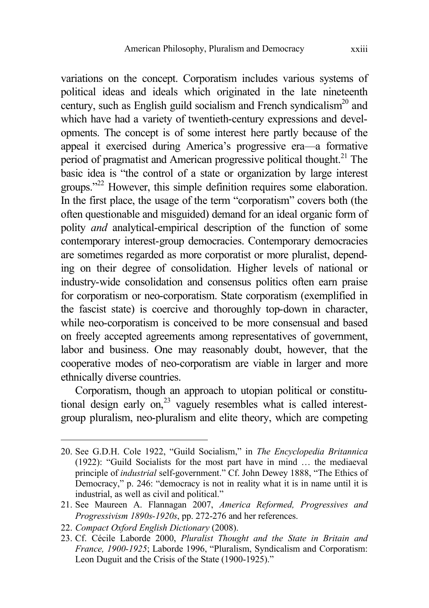variations on the concept. Corporatism includes various systems of political ideas and ideals which originated in the late nineteenth century, such as English guild socialism and French syndicalism<sup>20</sup> and which have had a variety of twentieth-century expressions and developments. The concept is of some interest here partly because of the appeal it exercised during America's progressive era—a formative period of pragmatist and American progressive political thought.<sup>21</sup> The basic idea is "the control of a state or organization by large interest groups."<sup>22</sup> However, this simple definition requires some elaboration. In the first place, the usage of the term "corporatism" covers both (the often questionable and misguided) demand for an ideal organic form of polity *and* analytical-empirical description of the function of some contemporary interest-group democracies. Contemporary democracies are sometimes regarded as more corporatist or more pluralist, depending on their degree of consolidation. Higher levels of national or industry-wide consolidation and consensus politics often earn praise for corporatism or neo-corporatism. State corporatism (exemplified in the fascist state) is coercive and thoroughly top-down in character, while neo-corporatism is conceived to be more consensual and based on freely accepted agreements among representatives of government, labor and business. One may reasonably doubt, however, that the cooperative modes of neo-corporatism are viable in larger and more ethnically diverse countries.

Corporatism, though an approach to utopian political or constitutional design early on.<sup>23</sup> vaguely resembles what is called interestgroup pluralism, neo-pluralism and elite theory, which are competing

<sup>20.</sup> See G.D.H. Cole 1922, "Guild Socialism," in *The Encyclopedia Britannica* (1922): "Guild Socialists for the most part have in mind … the mediaeval principle of *industrial* self-government." Cf. John Dewey 1888, "The Ethics of Democracy," p. 246: "democracy is not in reality what it is in name until it is industrial, as well as civil and political."

<sup>21.</sup> See Maureen A. Flannagan 2007, *America Reformed, Progressives and Progressivism 1890s-1920s*, pp. 272-276 and her references.

<sup>22.</sup> *Compact Oxford English Dictionary* (2008).

<sup>23.</sup> Cf. CÖcile Laborde 2000, *Pluralist Thought and the State in Britain and France, 1900-1925*; Laborde 1996, "Pluralism, Syndicalism and Corporatism: Leon Duguit and the Crisis of the State (1900-1925)."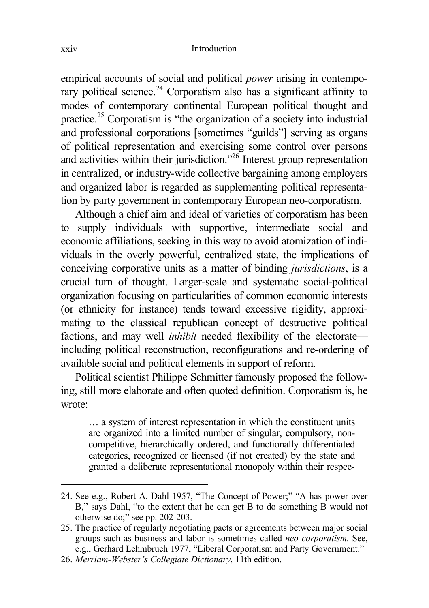empirical accounts of social and political *power* arising in contemporary political science.<sup>24</sup> Corporatism also has a significant affinity to modes of contemporary continental European political thought and practice.<sup>25</sup> Corporatism is "the organization of a society into industrial and professional corporations [sometimes "guilds"] serving as organs of political representation and exercising some control over persons and activities within their jurisdiction."<sup>26</sup> Interest group representation in centralized, or industry-wide collective bargaining among employers and organized labor is regarded as supplementing political representation by party government in contemporary European neo-corporatism.

Although a chief aim and ideal of varieties of corporatism has been to supply individuals with supportive, intermediate social and economic affiliations, seeking in this way to avoid atomization of individuals in the overly powerful, centralized state, the implications of conceiving corporative units as a matter of binding *jurisdictions*, is a crucial turn of thought. Larger-scale and systematic social-political organization focusing on particularities of common economic interests (or ethnicity for instance) tends toward excessive rigidity, approximating to the classical republican concept of destructive political factions, and may well *inhibit* needed flexibility of the electorate including political reconstruction, reconfigurations and re-ordering of available social and political elements in support of reform.

Political scientist Philippe Schmitter famously proposed the following, still more elaborate and often quoted definition. Corporatism is, he wrote:

… a system of interest representation in which the constituent units are organized into a limited number of singular, compulsory, noncompetitive, hierarchically ordered, and functionally differentiated categories, recognized or licensed (if not created) by the state and granted a deliberate representational monopoly within their respec-

<sup>24.</sup> See e.g., Robert A. Dahl 1957, "The Concept of Power;" "A has power over B," says Dahl, "to the extent that he can get B to do something B would not otherwise do;" see pp. 202-203.

<sup>25.</sup> The practice of regularly negotiating pacts or agreements between major social groups such as business and labor is sometimes called *neo-corporatism*. See, e.g., Gerhard Lehmbruch 1977, "Liberal Corporatism and Party Government."

<sup>26.</sup> *Merriam-Webster's Collegiate Dictionary*, 11th edition.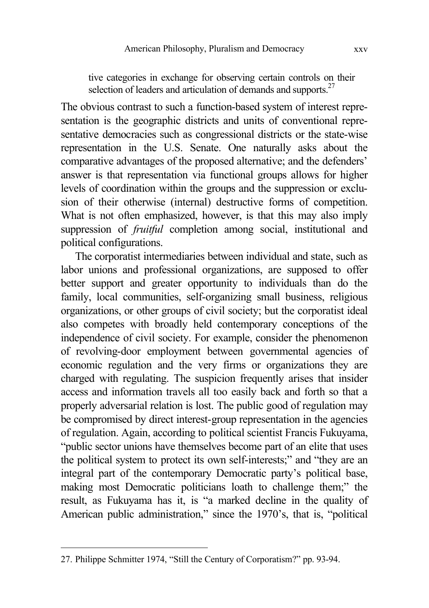tive categories in exchange for observing certain controls on their selection of leaders and articulation of demands and supports.<sup>27</sup>

The obvious contrast to such a function-based system of interest representation is the geographic districts and units of conventional representative democracies such as congressional districts or the state-wise representation in the U.S. Senate. One naturally asks about the comparative advantages of the proposed alternative; and the defenders' answer is that representation via functional groups allows for higher levels of coordination within the groups and the suppression or exclusion of their otherwise (internal) destructive forms of competition. What is not often emphasized, however, is that this may also imply suppression of *fruitful* completion among social, institutional and political configurations.

The corporatist intermediaries between individual and state, such as labor unions and professional organizations, are supposed to offer better support and greater opportunity to individuals than do the family, local communities, self-organizing small business, religious organizations, or other groups of civil society; but the corporatist ideal also competes with broadly held contemporary conceptions of the independence of civil society. For example, consider the phenomenon of revolving-door employment between governmental agencies of economic regulation and the very firms or organizations they are charged with regulating. The suspicion frequently arises that insider access and information travels all too easily back and forth so that a properly adversarial relation is lost. The public good of regulation may be compromised by direct interest-group representation in the agencies of regulation. Again, according to political scientist Francis Fukuyama, "public sector unions have themselves become part of an elite that uses the political system to protect its own self-interests;" and "they are an integral part of the contemporary Democratic party's political base, making most Democratic politicians loath to challenge them;" the result, as Fukuyama has it, is "a marked decline in the quality of American public administration," since the 1970's, that is, "political

<sup>27.</sup> Philippe Schmitter 1974, "Still the Century of Corporatism?" pp. 93-94.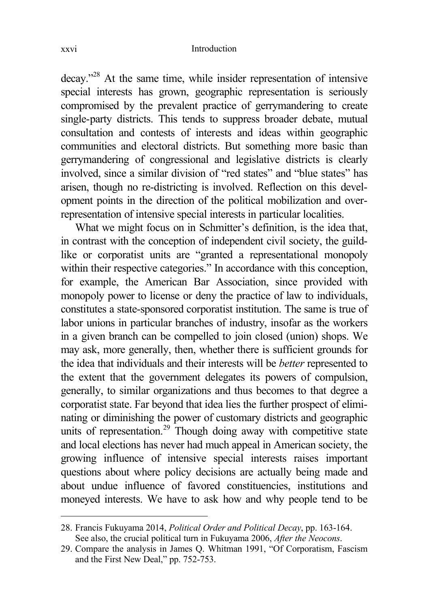decay."<sup>28</sup> At the same time, while insider representation of intensive special interests has grown, geographic representation is seriously compromised by the prevalent practice of gerrymandering to create single-party districts. This tends to suppress broader debate, mutual consultation and contests of interests and ideas within geographic communities and electoral districts. But something more basic than gerrymandering of congressional and legislative districts is clearly involved, since a similar division of "red states" and "blue states" has arisen, though no re-districting is involved. Reflection on this development points in the direction of the political mobilization and overrepresentation of intensive special interests in particular localities.

What we might focus on in Schmitter's definition, is the idea that, in contrast with the conception of independent civil society, the guildlike or corporatist units are "granted a representational monopoly within their respective categories." In accordance with this conception. for example, the American Bar Association, since provided with monopoly power to license or deny the practice of law to individuals, constitutes a state-sponsored corporatist institution. The same is true of labor unions in particular branches of industry, insofar as the workers in a given branch can be compelled to join closed (union) shops. We may ask, more generally, then, whether there is sufficient grounds for the idea that individuals and their interests will be *better* represented to the extent that the government delegates its powers of compulsion, generally, to similar organizations and thus becomes to that degree a corporatist state. Far beyond that idea lies the further prospect of eliminating or diminishing the power of customary districts and geographic units of representation.<sup>29</sup> Though doing away with competitive state and local elections has never had much appeal in American society, the growing influence of intensive special interests raises important questions about where policy decisions are actually being made and about undue influence of favored constituencies, institutions and moneyed interests. We have to ask how and why people tend to be

<sup>28.</sup> Francis Fukuyama 2014, *Political Order and Political Decay*, pp. 163-164. See also, the crucial political turn in Fukuyama 2006, *After the Neocons*.

<sup>29.</sup> Compare the analysis in James Q. Whitman 1991, "Of Corporatism, Fascism and the First New Deal," pp. 752-753.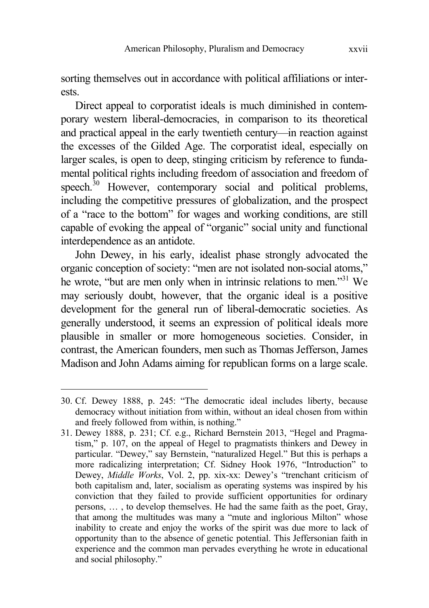sorting themselves out in accordance with political affiliations or interests.

Direct appeal to corporatist ideals is much diminished in contemporary western liberal-democracies, in comparison to its theoretical and practical appeal in the early twentieth century—in reaction against the excesses of the Gilded Age. The corporatist ideal, especially on larger scales, is open to deep, stinging criticism by reference to fundamental political rights including freedom of association and freedom of speech. $30$  However, contemporary social and political problems, including the competitive pressures of globalization, and the prospect of a "race to the bottom" for wages and working conditions, are still capable of evoking the appeal of "organic" social unity and functional interdependence as an antidote.

John Dewey, in his early, idealist phase strongly advocated the organic conception of society: "men are not isolated non-social atoms," he wrote, "but are men only when in intrinsic relations to men."<sup>31</sup> We may seriously doubt, however, that the organic ideal is a positive development for the general run of liberal-democratic societies. As generally understood, it seems an expression of political ideals more plausible in smaller or more homogeneous societies. Consider, in contrast, the American founders, men such as Thomas Jefferson, James Madison and John Adams aiming for republican forms on a large scale.

<sup>30.</sup> Cf. Dewey 1888, p. 245: "The democratic ideal includes liberty, because democracy without initiation from within, without an ideal chosen from within and freely followed from within, is nothing."

<sup>31.</sup> Dewey 1888, p. 231; Cf. e.g., Richard Bernstein 2013, "Hegel and Pragmatism," p. 107, on the appeal of Hegel to pragmatists thinkers and Dewey in particular. "Dewey," say Bernstein, "naturalized Hegel." But this is perhaps a more radicalizing interpretation; Cf. Sidney Hook 1976, "Introduction" to Dewey, *Middle Works*, Vol. 2, pp. xix-xx: Dewey's "trenchant criticism of both capitalism and, later, socialism as operating systems was inspired by his conviction that they failed to provide sufficient opportunities for ordinary persons, … , to develop themselves. He had the same faith as the poet, Gray, that among the multitudes was many a "mute and inglorious Milton" whose inability to create and enjoy the works of the spirit was due more to lack of opportunity than to the absence of genetic potential. This Jeffersonian faith in experience and the common man pervades everything he wrote in educational and social philosophy."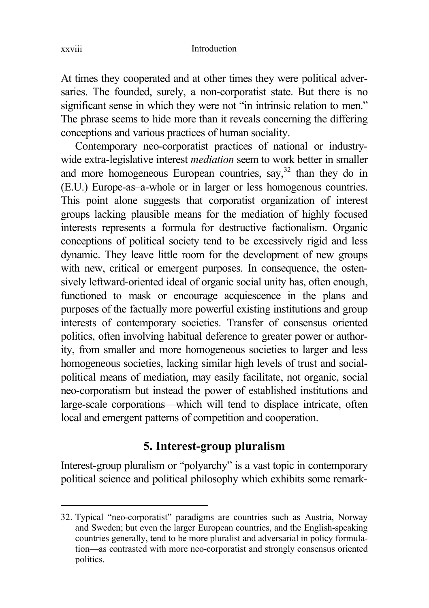At times they cooperated and at other times they were political adversaries. The founded, surely, a non-corporatist state. But there is no significant sense in which they were not "in intrinsic relation to men." The phrase seems to hide more than it reveals concerning the differing conceptions and various practices of human sociality.

Contemporary neo-corporatist practices of national or industrywide extra-legislative interest *mediation* seem to work better in smaller and more homogeneous European countries, say,  $32$  than they do in (E.U.) Europe-as–a-whole or in larger or less homogenous countries. This point alone suggests that corporatist organization of interest groups lacking plausible means for the mediation of highly focused interests represents a formula for destructive factionalism. Organic conceptions of political society tend to be excessively rigid and less dynamic. They leave little room for the development of new groups with new, critical or emergent purposes. In consequence, the ostensively leftward-oriented ideal of organic social unity has, often enough, functioned to mask or encourage acquiescence in the plans and purposes of the factually more powerful existing institutions and group interests of contemporary societies. Transfer of consensus oriented politics, often involving habitual deference to greater power or authority, from smaller and more homogeneous societies to larger and less homogeneous societies, lacking similar high levels of trust and socialpolitical means of mediation, may easily facilitate, not organic, social neo-corporatism but instead the power of established institutions and large-scale corporations—which will tend to displace intricate, often local and emergent patterns of competition and cooperation.

# **5. Interest-group pluralism**

Interest-group pluralism or "polyarchy" is a vast topic in contemporary political science and political philosophy which exhibits some remark-

<sup>32.</sup> Typical "neo-corporatist" paradigms are countries such as Austria, Norway and Sweden; but even the larger European countries, and the English-speaking countries generally, tend to be more pluralist and adversarial in policy formulation—as contrasted with more neo-corporatist and strongly consensus oriented politics.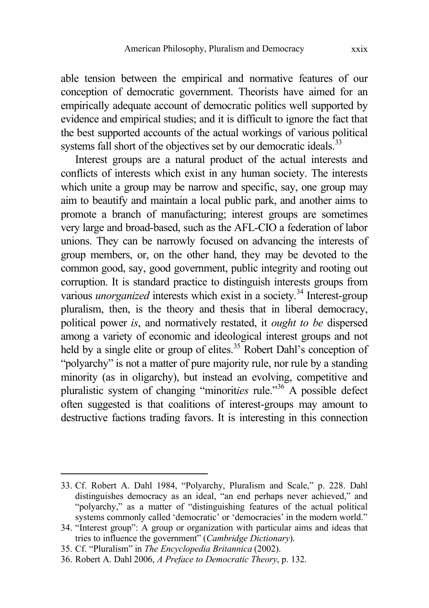able tension between the empirical and normative features of our conception of democratic government. Theorists have aimed for an empirically adequate account of democratic politics well supported by evidence and empirical studies; and it is difficult to ignore the fact that the best supported accounts of the actual workings of various political systems fall short of the objectives set by our democratic ideals.<sup>33</sup>

Interest groups are a natural product of the actual interests and conflicts of interests which exist in any human society. The interests which unite a group may be narrow and specific, say, one group may aim to beautify and maintain a local public park, and another aims to promote a branch of manufacturing; interest groups are sometimes very large and broad-based, such as the AFL-CIO a federation of labor unions. They can be narrowly focused on advancing the interests of group members, or, on the other hand, they may be devoted to the common good, say, good government, public integrity and rooting out corruption. It is standard practice to distinguish interests groups from various *unorganized* interests which exist in a society.<sup>34</sup> Interest-group pluralism, then, is the theory and thesis that in liberal democracy, political power *is*, and normatively restated, it *ought to be* dispersed among a variety of economic and ideological interest groups and not held by a single elite or group of elites.<sup>35</sup> Robert Dahl's conception of "polyarchy" is not a matter of pure majority rule, nor rule by a standing minority (as in oligarchy), but instead an evolving, competitive and pluralistic system of changing "minorit*ies* rule."<sup>36</sup> A possible defect often suggested is that coalitions of interest-groups may amount to destructive factions trading favors. It is interesting in this connection

<sup>33.</sup> Cf. Robert A. Dahl 1984, "Polyarchy, Pluralism and Scale," p. 228. Dahl distinguishes democracy as an ideal, "an end perhaps never achieved," and "polyarchy," as a matter of "distinguishing features of the actual political systems commonly called 'democratic' or 'democracies' in the modern world."

<sup>34.</sup> "Interest group": A group or organization with particular aims and ideas that tries to influence the government" (*Cambridge Dictionary*).

<sup>35.</sup> Cf. "Pluralism" in *The Encyclopedia Britannica* (2002).

<sup>36.</sup> Robert A. Dahl 2006, *A Preface to Democratic Theory*, p. 132.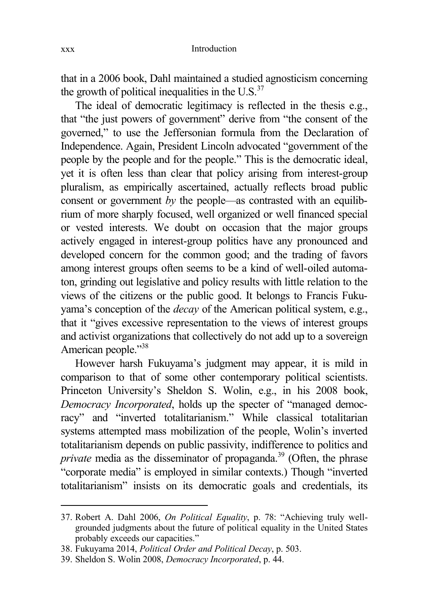that in a 2006 book, Dahl maintained a studied agnosticism concerning the growth of political inequalities in the  $\text{U.S.}^{37}$ 

The ideal of democratic legitimacy is reflected in the thesis e.g., that "the just powers of government" derive from "the consent of the governed," to use the Jeffersonian formula from the Declaration of Independence. Again, President Lincoln advocated "government of the people by the people and for the people." This is the democratic ideal, yet it is often less than clear that policy arising from interest-group pluralism, as empirically ascertained, actually reflects broad public consent or government *by* the people—as contrasted with an equilibrium of more sharply focused, well organized or well financed special or vested interests. We doubt on occasion that the major groups actively engaged in interest-group politics have any pronounced and developed concern for the common good; and the trading of favors among interest groups often seems to be a kind of well-oiled automaton, grinding out legislative and policy results with little relation to the views of the citizens or the public good. It belongs to Francis Fukuyama's conception of the *decay* of the American political system, e.g., that it "gives excessive representation to the views of interest groups and activist organizations that collectively do not add up to a sovereign American people."<sup>38</sup>

However harsh Fukuyama's judgment may appear, it is mild in comparison to that of some other contemporary political scientists. Princeton University's Sheldon S. Wolin, e.g., in his 2008 book, *Democracy Incorporated*, holds up the specter of "managed democracy" and "inverted totalitarianism." While classical totalitarian systems attempted mass mobilization of the people, Wolin's inverted totalitarianism depends on public passivity, indifference to politics and *private* media as the disseminator of propaganda.<sup>39</sup> (Often, the phrase "corporate media" is employed in similar contexts.) Though "inverted totalitarianism" insists on its democratic goals and credentials, its

<sup>37.</sup> Robert A. Dahl 2006, *On Political Equality*, p. 78: "Achieving truly wellgrounded judgments about the future of political equality in the United States probably exceeds our capacities."

<sup>38.</sup> Fukuyama 2014, *Political Order and Political Decay*, p. 503.

<sup>39.</sup> Sheldon S. Wolin 2008, *Democracy Incorporated*, p. 44.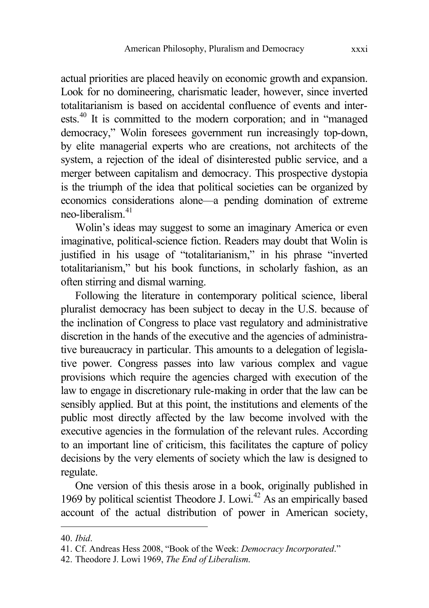actual priorities are placed heavily on economic growth and expansion. Look for no domineering, charismatic leader, however, since inverted totalitarianism is based on accidental confluence of events and interests.<sup>40</sup> It is committed to the modern corporation; and in "managed democracy," Wolin foresees government run increasingly top-down, by elite managerial experts who are creations, not architects of the system, a rejection of the ideal of disinterested public service, and a merger between capitalism and democracy. This prospective dystopia is the triumph of the idea that political societies can be organized by economics considerations alone—a pending domination of extreme neo-liberalism<sup>41</sup>

Wolin's ideas may suggest to some an imaginary America or even imaginative, political-science fiction. Readers may doubt that Wolin is justified in his usage of "totalitarianism," in his phrase "inverted totalitarianism," but his book functions, in scholarly fashion, as an often stirring and dismal warning.

Following the literature in contemporary political science, liberal pluralist democracy has been subject to decay in the U.S. because of the inclination of Congress to place vast regulatory and administrative discretion in the hands of the executive and the agencies of administrative bureaucracy in particular. This amounts to a delegation of legislative power. Congress passes into law various complex and vague provisions which require the agencies charged with execution of the law to engage in discretionary rule-making in order that the law can be sensibly applied. But at this point, the institutions and elements of the public most directly affected by the law become involved with the executive agencies in the formulation of the relevant rules. According to an important line of criticism, this facilitates the capture of policy decisions by the very elements of society which the law is designed to regulate.

One version of this thesis arose in a book, originally published in 1969 by political scientist Theodore J. Lowi.<sup>42</sup> As an empirically based account of the actual distribution of power in American society,

<sup>40.</sup> *Ibid*.

<sup>41.</sup> Cf. Andreas Hess 2008, "Book of the Week: *Democracy Incorporated*."

<sup>42.</sup> Theodore J. Lowi 1969, *The End of Liberalism*.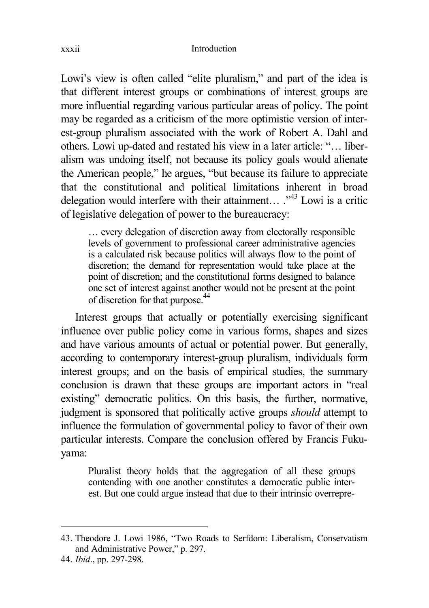Lowi's view is often called "elite pluralism," and part of the idea is that different interest groups or combinations of interest groups are more influential regarding various particular areas of policy. The point may be regarded as a criticism of the more optimistic version of interest-group pluralism associated with the work of Robert A. Dahl and others. Lowi up-dated and restated his view in a later article: "… liberalism was undoing itself, not because its policy goals would alienate the American people," he argues, "but because its failure to appreciate that the constitutional and political limitations inherent in broad delegation would interfere with their attainment...  $\cdot^{43}$  Lowi is a critic of legislative delegation of power to the bureaucracy:

… every delegation of discretion away from electorally responsible levels of government to professional career administrative agencies is a calculated risk because politics will always flow to the point of discretion; the demand for representation would take place at the point of discretion; and the constitutional forms designed to balance one set of interest against another would not be present at the point of discretion for that purpose.<sup>44</sup>

Interest groups that actually or potentially exercising significant influence over public policy come in various forms, shapes and sizes and have various amounts of actual or potential power. But generally, according to contemporary interest-group pluralism, individuals form interest groups; and on the basis of empirical studies, the summary conclusion is drawn that these groups are important actors in "real existing" democratic politics. On this basis, the further, normative, judgment is sponsored that politically active groups *should* attempt to influence the formulation of governmental policy to favor of their own particular interests. Compare the conclusion offered by Francis Fukuyama:

Pluralist theory holds that the aggregation of all these groups contending with one another constitutes a democratic public interest. But one could argue instead that due to their intrinsic overrepre-

<sup>43.</sup> Theodore J. Lowi 1986, "Two Roads to Serfdom: Liberalism, Conservatism and Administrative Power," p. 297.

<sup>44.</sup> *Ibid*., pp. 297-298.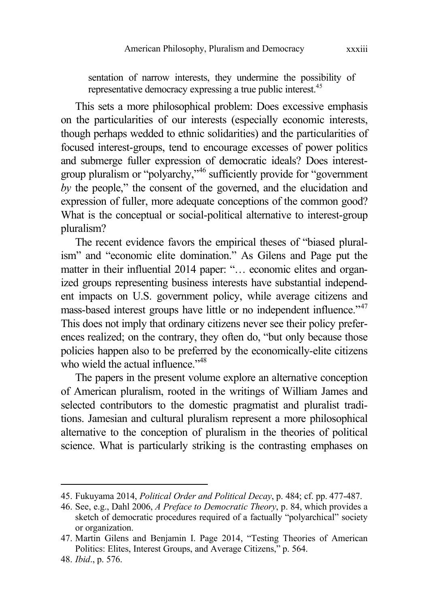sentation of narrow interests, they undermine the possibility of representative democracy expressing a true public interest.<sup>45</sup>

This sets a more philosophical problem: Does excessive emphasis on the particularities of our interests (especially economic interests, though perhaps wedded to ethnic solidarities) and the particularities of focused interest-groups, tend to encourage excesses of power politics and submerge fuller expression of democratic ideals? Does interestgroup pluralism or "polyarchy,"<sup>46</sup> sufficiently provide for "government *by* the people," the consent of the governed, and the elucidation and expression of fuller, more adequate conceptions of the common good? What is the conceptual or social-political alternative to interest-group pluralism?

The recent evidence favors the empirical theses of "biased pluralism" and "economic elite domination." As Gilens and Page put the matter in their influential 2014 paper: "... economic elites and organized groups representing business interests have substantial independent impacts on U.S. government policy, while average citizens and mass-based interest groups have little or no independent influence."<sup>47</sup> This does not imply that ordinary citizens never see their policy preferences realized; on the contrary, they often do, "but only because those policies happen also to be preferred by the economically-elite citizens who wield the actual influence."<sup>48</sup>

The papers in the present volume explore an alternative conception of American pluralism, rooted in the writings of William James and selected contributors to the domestic pragmatist and pluralist traditions. Jamesian and cultural pluralism represent a more philosophical alternative to the conception of pluralism in the theories of political science. What is particularly striking is the contrasting emphases on

<sup>45.</sup> Fukuyama 2014, *Political Order and Political Decay*, p. 484; cf. pp. 477-487.

<sup>46.</sup> See, e.g., Dahl 2006, *A Preface to Democratic Theory*, p. 84, which provides a sketch of democratic procedures required of a factually "polyarchical" society or organization.

<sup>47.</sup> Martin Gilens and Benjamin I. Page 2014, "Testing Theories of American Politics: Elites, Interest Groups, and Average Citizens," p. 564.

<sup>48.</sup> *Ibid*., p. 576.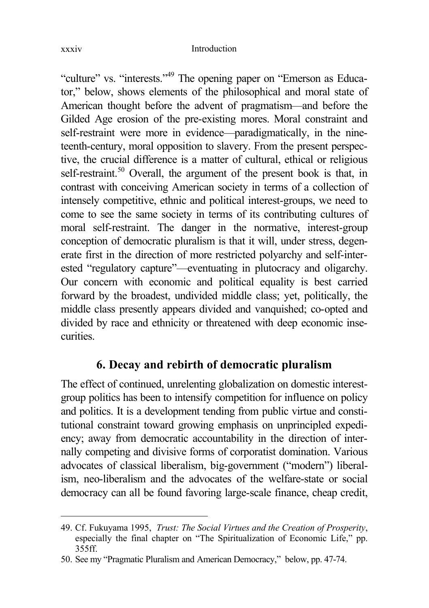#### xxxiv Introduction

"culture" vs. "interests."<sup>49</sup> The opening paper on "Emerson as Educator," below, shows elements of the philosophical and moral state of American thought before the advent of pragmatism—and before the Gilded Age erosion of the pre-existing mores. Moral constraint and self-restraint were more in evidence—paradigmatically, in the nineteenth-century, moral opposition to slavery. From the present perspective, the crucial difference is a matter of cultural, ethical or religious self-restraint.<sup>50</sup> Overall, the argument of the present book is that, in contrast with conceiving American society in terms of a collection of intensely competitive, ethnic and political interest-groups, we need to come to see the same society in terms of its contributing cultures of moral self-restraint. The danger in the normative, interest-group conception of democratic pluralism is that it will, under stress, degenerate first in the direction of more restricted polyarchy and self-interested "regulatory capture"—eventuating in plutocracy and oligarchy. Our concern with economic and political equality is best carried forward by the broadest, undivided middle class; yet, politically, the middle class presently appears divided and vanquished; co-opted and divided by race and ethnicity or threatened with deep economic insecurities.

# **6. Decay and rebirth of democratic pluralism**

The effect of continued, unrelenting globalization on domestic interestgroup politics has been to intensify competition for influence on policy and politics. It is a development tending from public virtue and constitutional constraint toward growing emphasis on unprincipled expediency; away from democratic accountability in the direction of internally competing and divisive forms of corporatist domination. Various advocates of classical liberalism, big-government ("modern") liberalism, neo-liberalism and the advocates of the welfare-state or social democracy can all be found favoring large-scale finance, cheap credit,

<sup>49.</sup> Cf. Fukuyama 1995, *Trust: The Social Virtues and the Creation of Prosperity*, especially the final chapter on "The Spiritualization of Economic Life," pp. 355ff.

<sup>50.</sup> See my "Pragmatic Pluralism and American Democracy," below, pp. 47-74.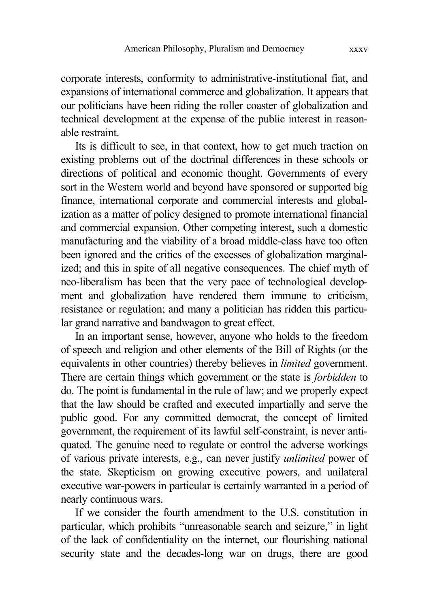corporate interests, conformity to administrative-institutional fiat, and expansions of international commerce and globalization. It appears that our politicians have been riding the roller coaster of globalization and technical development at the expense of the public interest in reasonable restraint.

Its is difficult to see, in that context, how to get much traction on existing problems out of the doctrinal differences in these schools or directions of political and economic thought. Governments of every sort in the Western world and beyond have sponsored or supported big finance, international corporate and commercial interests and globalization as a matter of policy designed to promote international financial and commercial expansion. Other competing interest, such a domestic manufacturing and the viability of a broad middle-class have too often been ignored and the critics of the excesses of globalization marginalized; and this in spite of all negative consequences. The chief myth of neo-liberalism has been that the very pace of technological development and globalization have rendered them immune to criticism, resistance or regulation; and many a politician has ridden this particular grand narrative and bandwagon to great effect.

In an important sense, however, anyone who holds to the freedom of speech and religion and other elements of the Bill of Rights (or the equivalents in other countries) thereby believes in *limited* government. There are certain things which government or the state is *forbidden* to do. The point is fundamental in the rule of law; and we properly expect that the law should be crafted and executed impartially and serve the public good. For any committed democrat, the concept of limited government, the requirement of its lawful self-constraint, is never antiquated. The genuine need to regulate or control the adverse workings of various private interests, e.g., can never justify *unlimited* power of the state. Skepticism on growing executive powers, and unilateral executive war-powers in particular is certainly warranted in a period of nearly continuous wars.

If we consider the fourth amendment to the U.S. constitution in particular, which prohibits "unreasonable search and seizure," in light of the lack of confidentiality on the internet, our flourishing national security state and the decades-long war on drugs, there are good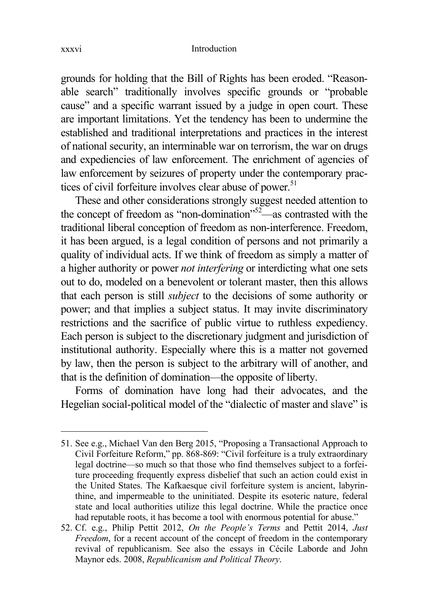grounds for holding that the Bill of Rights has been eroded. "Reasonable search" traditionally involves specific grounds or "probable cause" and a specific warrant issued by a judge in open court. These are important limitations. Yet the tendency has been to undermine the established and traditional interpretations and practices in the interest of national security, an interminable war on terrorism, the war on drugs and expediencies of law enforcement. The enrichment of agencies of law enforcement by seizures of property under the contemporary practices of civil forfeiture involves clear abuse of power.<sup>51</sup>

These and other considerations strongly suggest needed attention to the concept of freedom as "non-domination"<sup>52</sup>—as contrasted with the traditional liberal conception of freedom as non-interference. Freedom, it has been argued, is a legal condition of persons and not primarily a quality of individual acts. If we think of freedom as simply a matter of a higher authority or power *not interfering* or interdicting what one sets out to do, modeled on a benevolent or tolerant master, then this allows that each person is still *subject* to the decisions of some authority or power; and that implies a subject status. It may invite discriminatory restrictions and the sacrifice of public virtue to ruthless expediency. Each person is subject to the discretionary judgment and jurisdiction of institutional authority. Especially where this is a matter not governed by law, then the person is subject to the arbitrary will of another, and that is the definition of domination—the opposite of liberty.

Forms of domination have long had their advocates, and the Hegelian social-political model of the "dialectic of master and slave" is

<sup>51.</sup> See e.g., Michael Van den Berg 2015, "Proposing a Transactional Approach to Civil Forfeiture Reform," pp. 868-869: "Civil forfeiture is a truly extraordinary legal doctrine—so much so that those who find themselves subject to a forfeiture proceeding frequently express disbelief that such an action could exist in the United States. The Kafkaesque civil forfeiture system is ancient, labyrinthine, and impermeable to the uninitiated. Despite its esoteric nature, federal state and local authorities utilize this legal doctrine. While the practice once had reputable roots, it has become a tool with enormous potential for abuse."

<sup>52.</sup> Cf. e.g., Philip Pettit 2012, *On the People's Terms* and Pettit 2014, *Just Freedom*, for a recent account of the concept of freedom in the contemporary revival of republicanism. See also the essays in Cécile Laborde and John Maynor eds. 2008, *Republicanism and Political Theory*.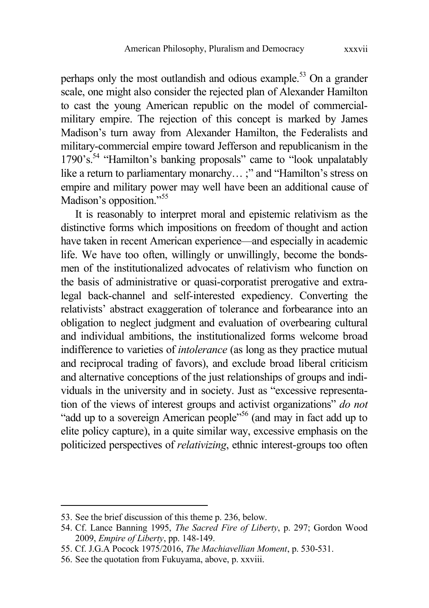perhaps only the most outlandish and odious example.<sup>53</sup> On a grander scale, one might also consider the rejected plan of Alexander Hamilton to cast the young American republic on the model of commercialmilitary empire. The rejection of this concept is marked by James Madison's turn away from Alexander Hamilton, the Federalists and military-commercial empire toward Jefferson and republicanism in the 1790's.<sup>54</sup> "Hamilton's banking proposals" came to "look unpalatably like a return to parliamentary monarchy...;" and "Hamilton's stress on empire and military power may well have been an additional cause of Madison's opposition."<sup>55</sup>

It is reasonably to interpret moral and epistemic relativism as the distinctive forms which impositions on freedom of thought and action have taken in recent American experience—and especially in academic life. We have too often, willingly or unwillingly, become the bondsmen of the institutionalized advocates of relativism who function on the basis of administrative or quasi-corporatist prerogative and extralegal back-channel and self-interested expediency. Converting the relativists' abstract exaggeration of tolerance and forbearance into an obligation to neglect judgment and evaluation of overbearing cultural and individual ambitions, the institutionalized forms welcome broad indifference to varieties of *intolerance* (as long as they practice mutual and reciprocal trading of favors), and exclude broad liberal criticism and alternative conceptions of the just relationships of groups and individuals in the university and in society. Just as "excessive representation of the views of interest groups and activist organizations" *do not* "add up to a sovereign American people"<sup>56</sup> (and may in fact add up to elite policy capture), in a quite similar way, excessive emphasis on the politicized perspectives of *relativizing*, ethnic interest-groups too often

<sup>53.</sup> See the brief discussion of this theme p. 236, below.

<sup>54.</sup> Cf. Lance Banning 1995, *The Sacred Fire of Liberty*, p. 297; Gordon Wood 2009, *Empire of Liberty*, pp. 148-149.

<sup>55.</sup> Cf. J.G.A Pocock 1975/2016, *The Machiavellian Moment*, p. 530-531.

<sup>56.</sup> See the quotation from Fukuyama, above, p. xxviii.